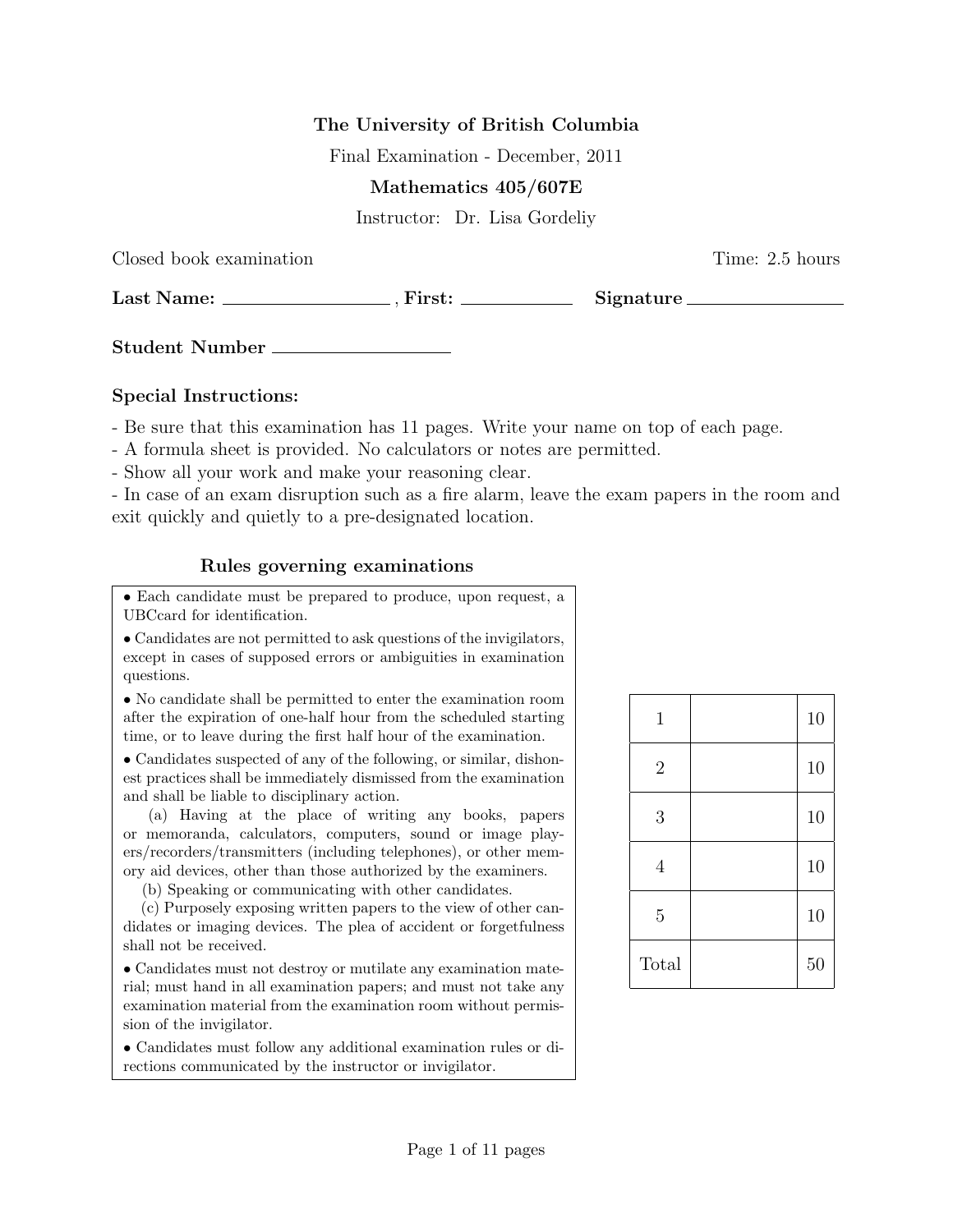# The University of British Columbia

Final Examination - December, 2011

### Mathematics 405/607E

Instructor: Dr. Lisa Gordeliy

Closed book examination Time: 2.5 hours

Last Name: , First: Signature

Student Number

## Special Instructions:

- Be sure that this examination has 11 pages. Write your name on top of each page.

- A formula sheet is provided. No calculators or notes are permitted.
- Show all your work and make your reasoning clear.

- In case of an exam disruption such as a fire alarm, leave the exam papers in the room and exit quickly and quietly to a pre-designated location.

# Rules governing examinations

• Each candidate must be prepared to produce, upon request, a UBCcard for identification.

• Candidates are not permitted to ask questions of the invigilators, except in cases of supposed errors or ambiguities in examination questions.

• No candidate shall be permitted to enter the examination room after the expiration of one-half hour from the scheduled starting time, or to leave during the first half hour of the examination.

• Candidates suspected of any of the following, or similar, dishonest practices shall be immediately dismissed from the examination and shall be liable to disciplinary action.

(a) Having at the place of writing any books, papers or memoranda, calculators, computers, sound or image players/recorders/transmitters (including telephones), or other memory aid devices, other than those authorized by the examiners.

(b) Speaking or communicating with other candidates.

(c) Purposely exposing written papers to the view of other candidates or imaging devices. The plea of accident or forgetfulness shall not be received.

• Candidates must not destroy or mutilate any examination material; must hand in all examination papers; and must not take any examination material from the examination room without permission of the invigilator.

• Candidates must follow any additional examination rules or directions communicated by the instructor or invigilator.

| $\mathbf 1$    | 10 |
|----------------|----|
| $\overline{2}$ | 10 |
| 3              | 10 |
| 4              | 10 |
| $\overline{5}$ | 10 |
| Total          | 50 |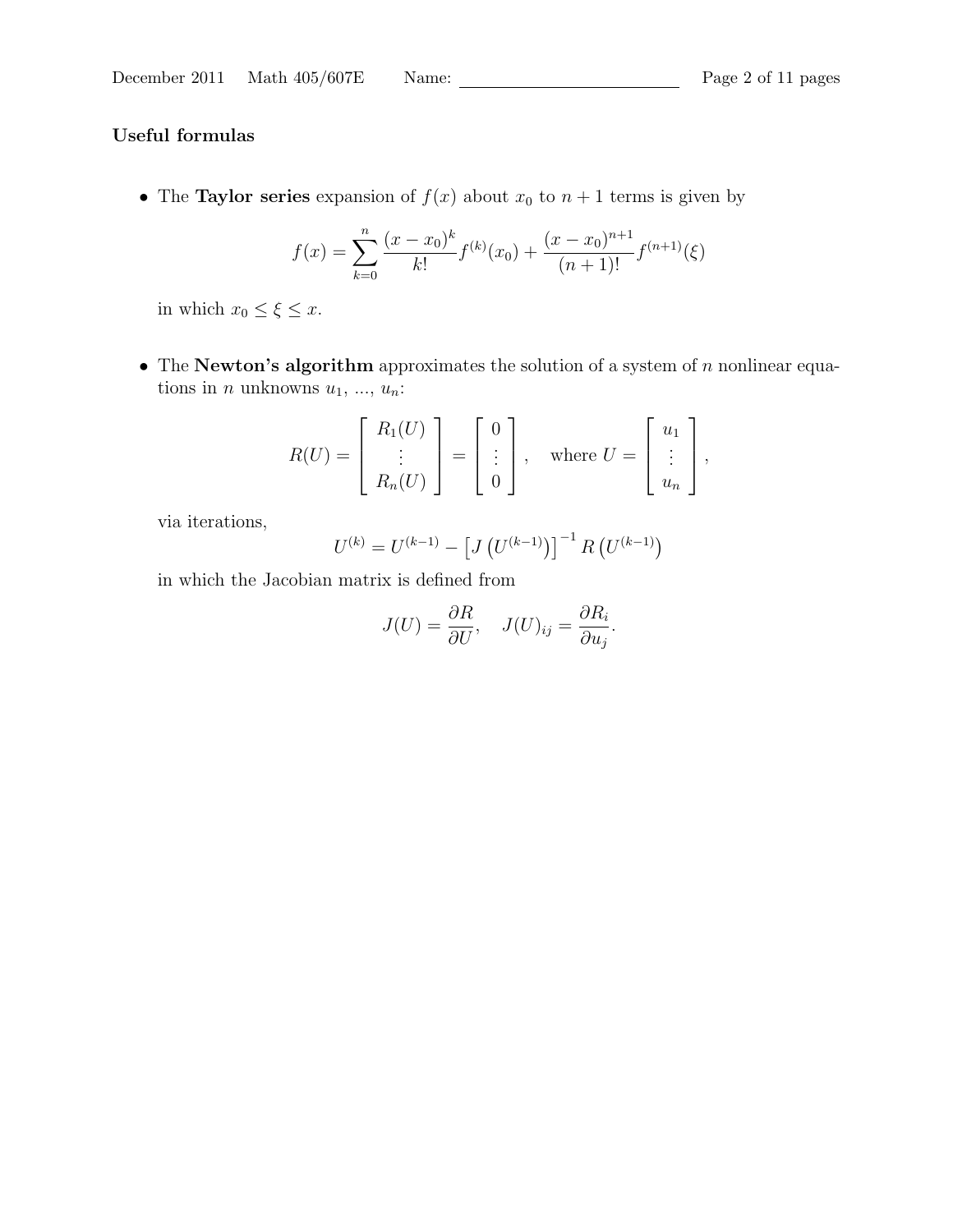# Useful formulas

• The Taylor series expansion of  $f(x)$  about  $x_0$  to  $n + 1$  terms is given by

$$
f(x) = \sum_{k=0}^{n} \frac{(x - x_0)^k}{k!} f^{(k)}(x_0) + \frac{(x - x_0)^{n+1}}{(n+1)!} f^{(n+1)}(\xi)
$$

in which  $x_0 \leq \xi \leq x$ .

• The Newton's algorithm approximates the solution of a system of  $n$  nonlinear equations in *n* unknowns  $u_1, ..., u_n$ :

$$
R(U) = \begin{bmatrix} R_1(U) \\ \vdots \\ R_n(U) \end{bmatrix} = \begin{bmatrix} 0 \\ \vdots \\ 0 \end{bmatrix}, \text{ where } U = \begin{bmatrix} u_1 \\ \vdots \\ u_n \end{bmatrix},
$$

via iterations,

$$
U^{(k)} = U^{(k-1)} - \left[ J\left( U^{(k-1)} \right) \right]^{-1} R\left( U^{(k-1)} \right)
$$

in which the Jacobian matrix is defined from

$$
J(U) = \frac{\partial R}{\partial U}, \quad J(U)_{ij} = \frac{\partial R_i}{\partial u_j}.
$$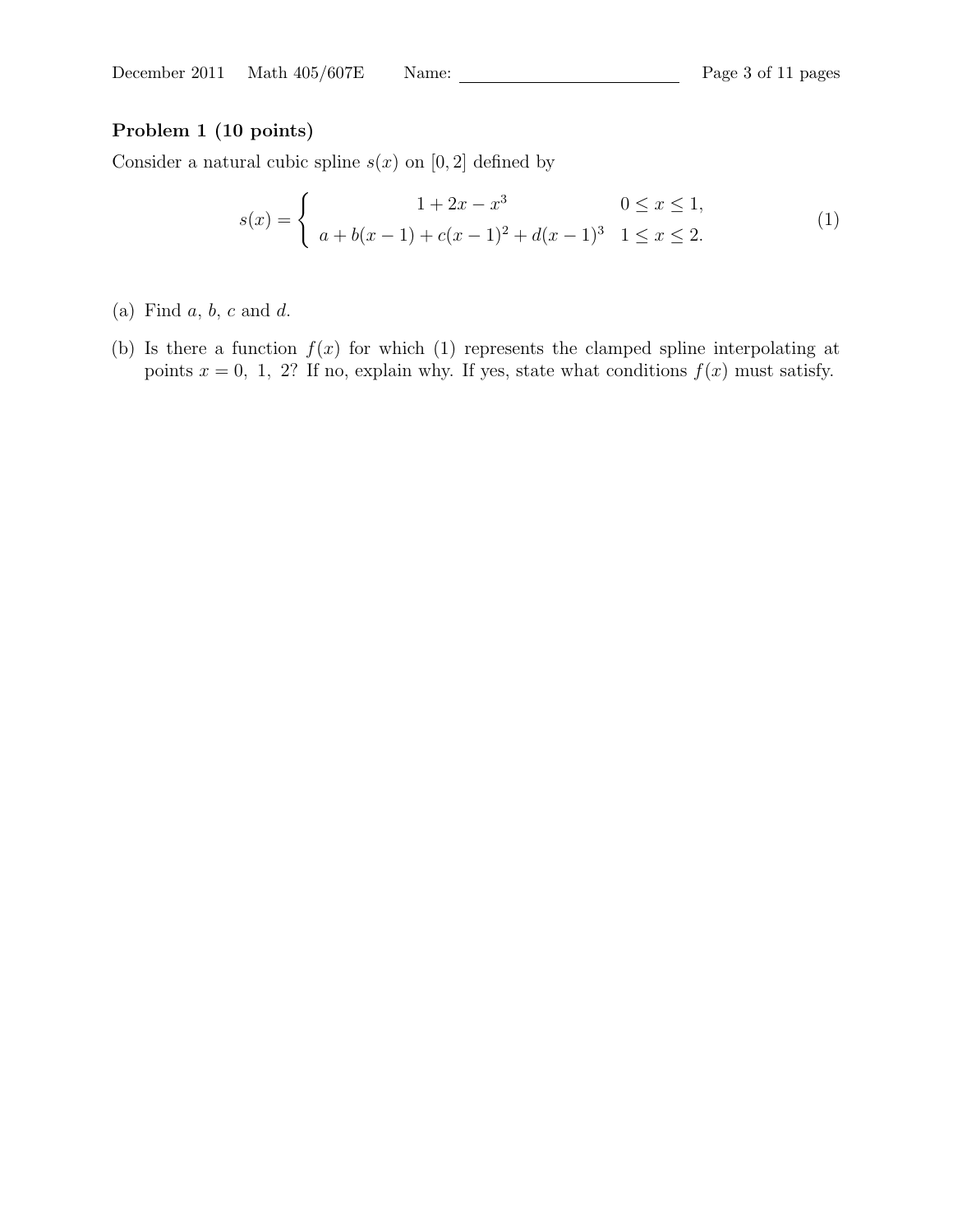# Problem 1 (10 points)

Consider a natural cubic spline  $s(x)$  on [0, 2] defined by

$$
s(x) = \begin{cases} 1 + 2x - x^3 & 0 \le x \le 1, \\ a + b(x - 1) + c(x - 1)^2 + d(x - 1)^3 & 1 \le x \le 2. \end{cases}
$$
(1)

- (a) Find  $a, b, c$  and  $d$ .
- (b) Is there a function  $f(x)$  for which (1) represents the clamped spline interpolating at points  $x = 0, 1, 2$ ? If no, explain why. If yes, state what conditions  $f(x)$  must satisfy.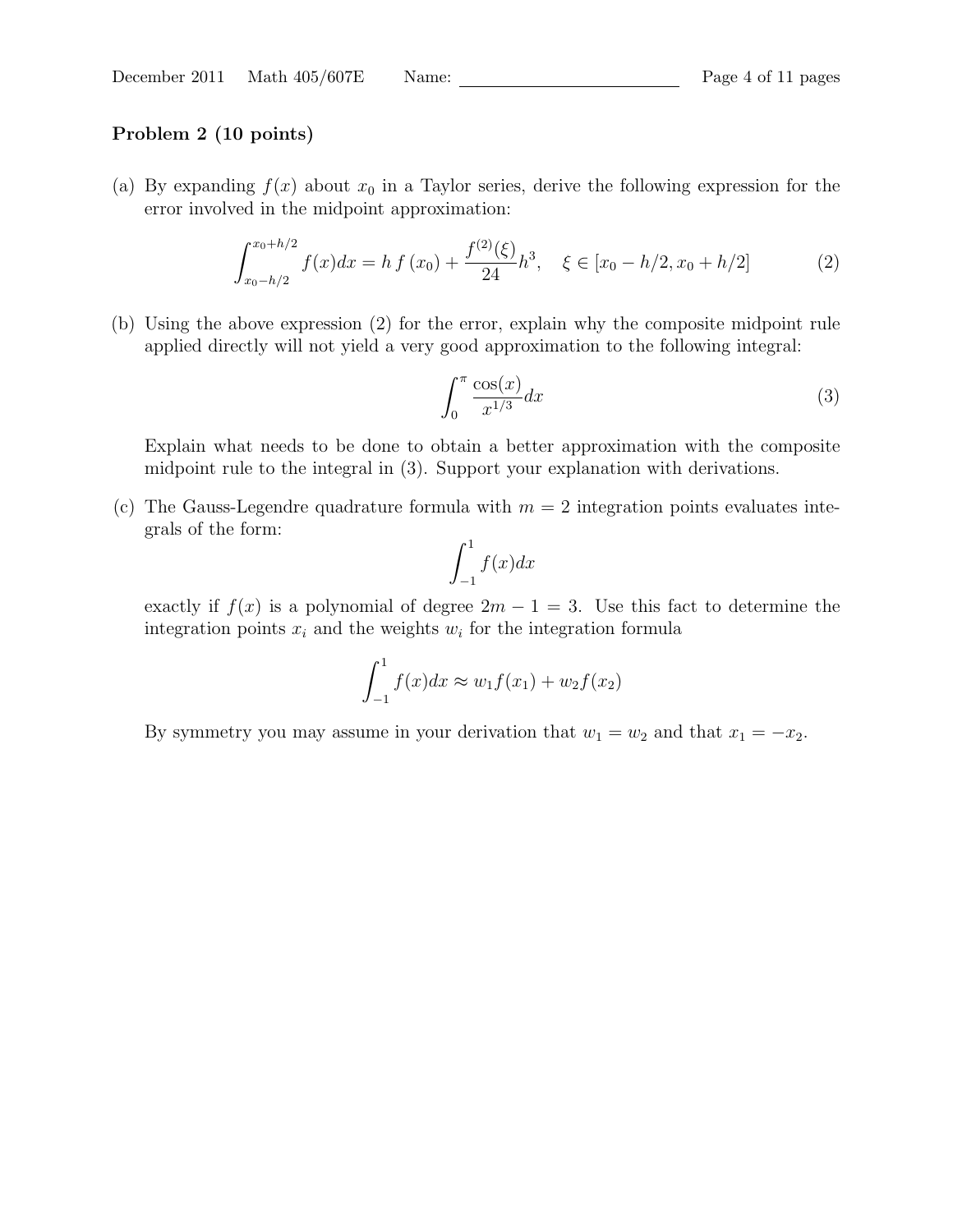### Problem 2 (10 points)

(a) By expanding  $f(x)$  about  $x_0$  in a Taylor series, derive the following expression for the error involved in the midpoint approximation:

$$
\int_{x_0 - h/2}^{x_0 + h/2} f(x) dx = h f(x_0) + \frac{f^{(2)}(\xi)}{24} h^3, \quad \xi \in [x_0 - h/2, x_0 + h/2]
$$
 (2)

(b) Using the above expression (2) for the error, explain why the composite midpoint rule applied directly will not yield a very good approximation to the following integral:

$$
\int_0^\pi \frac{\cos(x)}{x^{1/3}} dx\tag{3}
$$

Explain what needs to be done to obtain a better approximation with the composite midpoint rule to the integral in (3). Support your explanation with derivations.

(c) The Gauss-Legendre quadrature formula with  $m = 2$  integration points evaluates integrals of the form:

$$
\int_{-1}^{1} f(x) dx
$$

exactly if  $f(x)$  is a polynomial of degree  $2m - 1 = 3$ . Use this fact to determine the integration points  $x_i$  and the weights  $w_i$  for the integration formula

$$
\int_{-1}^{1} f(x)dx \approx w_1 f(x_1) + w_2 f(x_2)
$$

By symmetry you may assume in your derivation that  $w_1 = w_2$  and that  $x_1 = -x_2$ .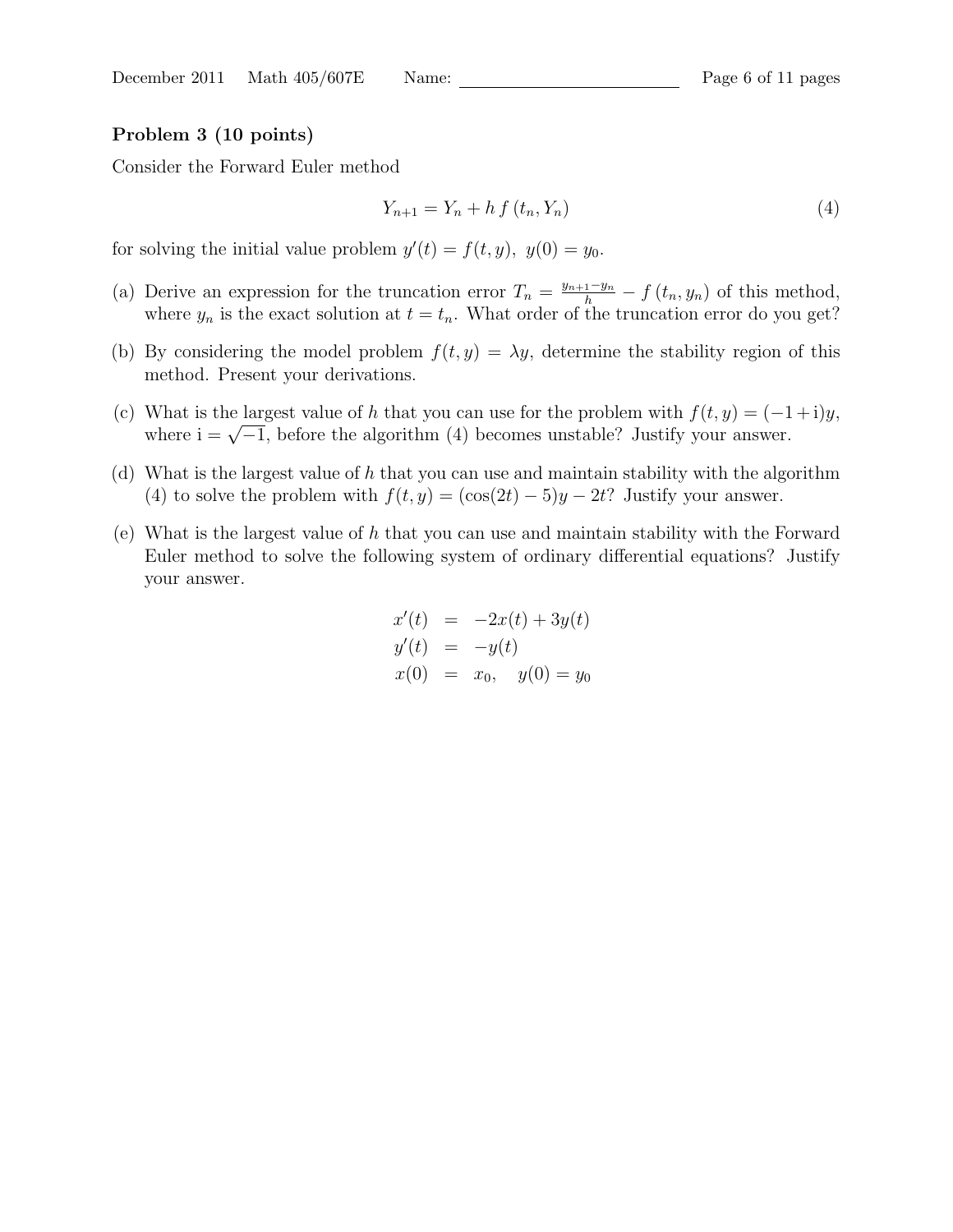#### Problem 3 (10 points)

Consider the Forward Euler method

$$
Y_{n+1} = Y_n + h f(t_n, Y_n)
$$
\n<sup>(4)</sup>

for solving the initial value problem  $y'(t) = f(t, y)$ ,  $y(0) = y_0$ .

- (a) Derive an expression for the truncation error  $T_n = \frac{y_{n+1}-y_n}{h} f(t_n, y_n)$  of this method, where  $y_n$  is the exact solution at  $t = t_n$ . What order of the truncation error do you get?
- (b) By considering the model problem  $f(t, y) = \lambda y$ , determine the stability region of this method. Present your derivations.
- (c) What is the largest value of h that you can use for the problem with  $f(t, y) = (-1 + i)y$ , where  $i = \sqrt{-1}$ , before the algorithm (4) becomes unstable? Justify your answer.
- (d) What is the largest value of h that you can use and maintain stability with the algorithm (4) to solve the problem with  $f(t, y) = (\cos(2t) - 5)y - 2t$ ? Justify your answer.
- (e) What is the largest value of h that you can use and maintain stability with the Forward Euler method to solve the following system of ordinary differential equations? Justify your answer.

$$
x'(t) = -2x(t) + 3y(t)
$$
  
\n
$$
y'(t) = -y(t)
$$
  
\n
$$
x(0) = x_0, \quad y(0) = y_0
$$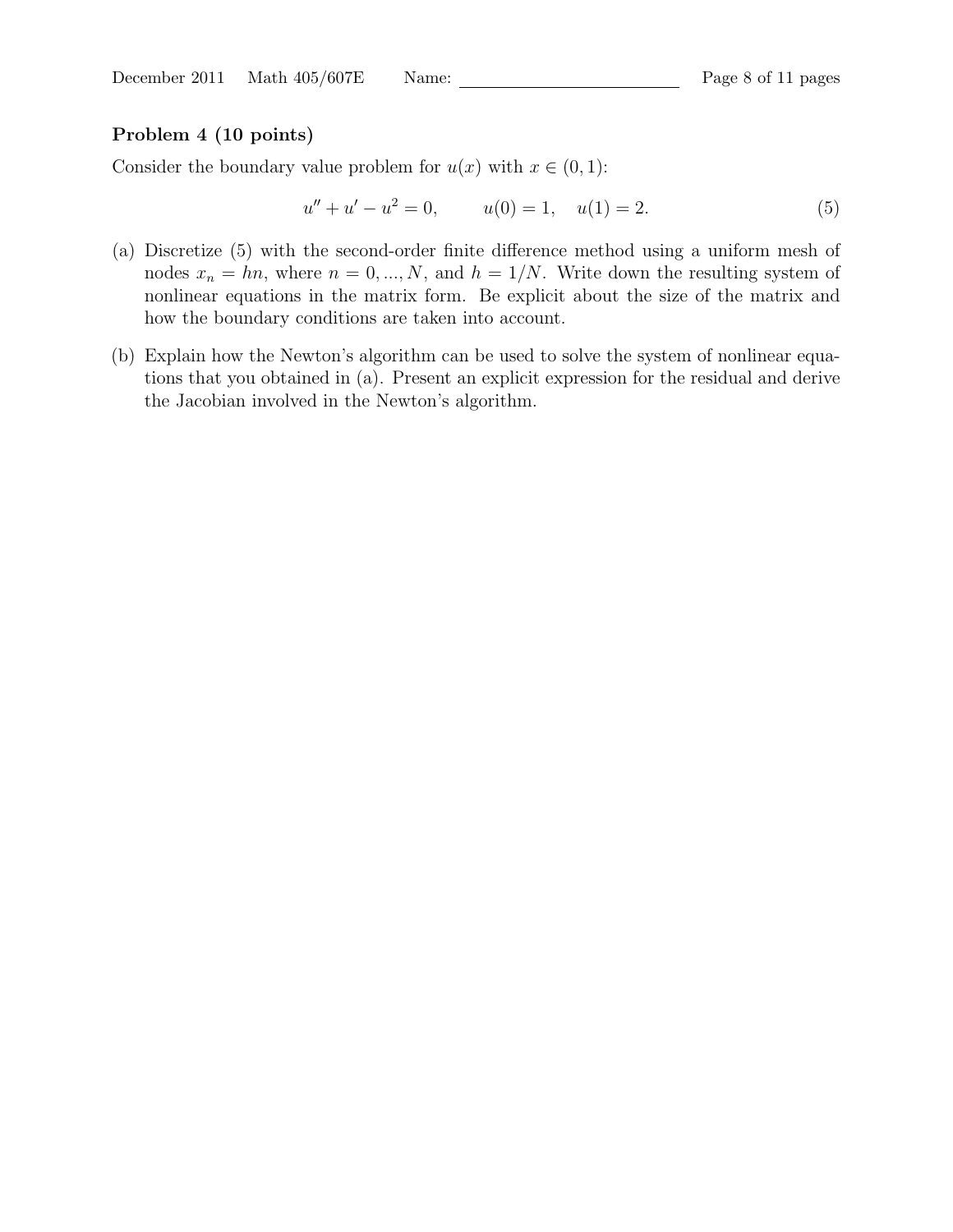### Problem 4 (10 points)

Consider the boundary value problem for  $u(x)$  with  $x \in (0, 1)$ :

$$
u'' + u' - u^2 = 0, \t u(0) = 1, \t u(1) = 2.
$$
\t(5)

- (a) Discretize (5) with the second-order finite difference method using a uniform mesh of nodes  $x_n = hn$ , where  $n = 0, ..., N$ , and  $h = 1/N$ . Write down the resulting system of nonlinear equations in the matrix form. Be explicit about the size of the matrix and how the boundary conditions are taken into account.
- (b) Explain how the Newton's algorithm can be used to solve the system of nonlinear equations that you obtained in (a). Present an explicit expression for the residual and derive the Jacobian involved in the Newton's algorithm.